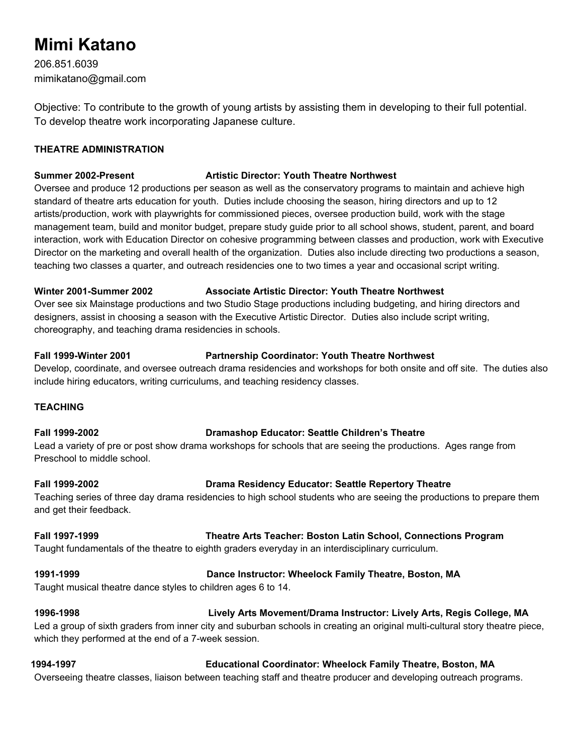# **Mimi Katano**

206.851.6039 mimikatano@gmail.com

Objective: To contribute to the growth of young artists by assisting them in developing to their full potential. To develop theatre work incorporating Japanese culture.

# **THEATRE ADMINISTRATION**

# **Summer 2002-Present Artistic Director: Youth Theatre Northwest**

Oversee and produce 12 productions per season as well as the conservatory programs to maintain and achieve high standard of theatre arts education for youth. Duties include choosing the season, hiring directors and up to 12 artists/production, work with playwrights for commissioned pieces, oversee production build, work with the stage management team, build and monitor budget, prepare study guide prior to all school shows, student, parent, and board interaction, work with Education Director on cohesive programming between classes and production, work with Executive Director on the marketing and overall health of the organization. Duties also include directing two productions a season, teaching two classes a quarter, and outreach residencies one to two times a year and occasional script writing.

### **Winter 2001-Summer 2002 Associate Artistic Director: Youth Theatre Northwest**

Over see six Mainstage productions and two Studio Stage productions including budgeting, and hiring directors and designers, assist in choosing a season with the Executive Artistic Director. Duties also include script writing, choreography, and teaching drama residencies in schools.

### **Fall 1999-Winter 2001 Partnership Coordinator: Youth Theatre Northwest**

Develop, coordinate, and oversee outreach drama residencies and workshops for both onsite and off site. The duties also include hiring educators, writing curriculums, and teaching residency classes.

### **TEACHING**

### **Fall 1999-2002 Dramashop Educator: Seattle Children's Theatre**

Lead a variety of pre or post show drama workshops for schools that are seeing the productions. Ages range from Preschool to middle school.

# **Fall 1999-2002 Drama Residency Educator: Seattle Repertory Theatre**

Teaching series of three day drama residencies to high school students who are seeing the productions to prepare them and get their feedback.

**Fall 1997-1999 Theatre Arts Teacher: Boston Latin School, Connections Program** Taught fundamentals of the theatre to eighth graders everyday in an interdisciplinary curriculum.

# **1991-1999 Dance Instructor: Wheelock Family Theatre, Boston, MA**

Taught musical theatre dance styles to children ages 6 to 14.

### **1996-1998 Lively Arts Movement/Drama Instructor: Lively Arts, Regis College, MA** Led a group of sixth graders from inner city and suburban schools in creating an original multi-cultural story theatre piece,

which they performed at the end of a 7-week session.

# **1994-1997 Educational Coordinator: Wheelock Family Theatre, Boston, MA**

Overseeing theatre classes, liaison between teaching staff and theatre producer and developing outreach programs.